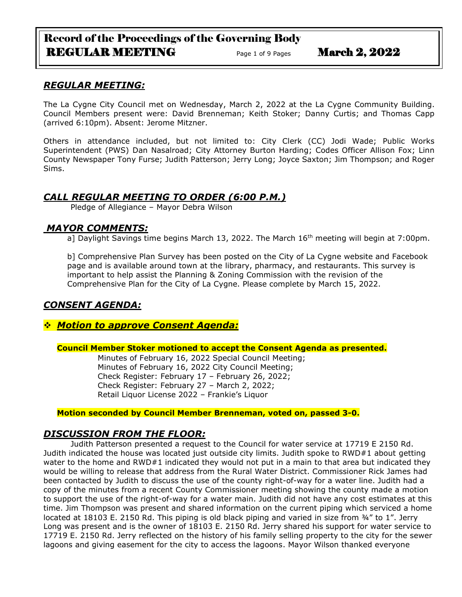# Record of the Proceedings of the Governing Body REGULAR MEETING Page 1 of 9 Pages March 2, 2022

### *REGULAR MEETING:*

The La Cygne City Council met on Wednesday, March 2, 2022 at the La Cygne Community Building. Council Members present were: David Brenneman; Keith Stoker; Danny Curtis; and Thomas Capp (arrived 6:10pm). Absent: Jerome Mitzner.

Others in attendance included, but not limited to: City Clerk (CC) Jodi Wade; Public Works Superintendent (PWS) Dan Nasalroad; City Attorney Burton Harding; Codes Officer Allison Fox; Linn County Newspaper Tony Furse; Judith Patterson; Jerry Long; Joyce Saxton; Jim Thompson; and Roger Sims.

### *CALL REGULAR MEETING TO ORDER (6:00 P.M.)*

Pledge of Allegiance – Mayor Debra Wilson

### *MAYOR COMMENTS:*

a] Daylight Savings time begins March 13, 2022. The March  $16<sup>th</sup>$  meeting will begin at 7:00pm.

b] Comprehensive Plan Survey has been posted on the City of La Cygne website and Facebook page and is available around town at the library, pharmacy, and restaurants. This survey is important to help assist the Planning & Zoning Commission with the revision of the Comprehensive Plan for the City of La Cygne. Please complete by March 15, 2022.

### *CONSENT AGENDA:*

### ❖ *Motion to approve Consent Agenda:*

#### **Council Member Stoker motioned to accept the Consent Agenda as presented.**

Minutes of February 16, 2022 Special Council Meeting; Minutes of February 16, 2022 City Council Meeting; Check Register: February 17 – February 26, 2022; Check Register: February 27 – March 2, 2022; Retail Liquor License 2022 – Frankie's Liquor

### **Motion seconded by Council Member Brenneman, voted on, passed 3-0.**

### *DISCUSSION FROM THE FLOOR:*

Judith Patterson presented a request to the Council for water service at 17719 E 2150 Rd. Judith indicated the house was located just outside city limits. Judith spoke to RWD#1 about getting water to the home and RWD#1 indicated they would not put in a main to that area but indicated they would be willing to release that address from the Rural Water District. Commissioner Rick James had been contacted by Judith to discuss the use of the county right-of-way for a water line. Judith had a copy of the minutes from a recent County Commissioner meeting showing the county made a motion to support the use of the right-of-way for a water main. Judith did not have any cost estimates at this time. Jim Thompson was present and shared information on the current piping which serviced a home located at 18103 E. 2150 Rd. This piping is old black piping and varied in size from 34" to 1". Jerry Long was present and is the owner of 18103 E. 2150 Rd. Jerry shared his support for water service to 17719 E. 2150 Rd. Jerry reflected on the history of his family selling property to the city for the sewer lagoons and giving easement for the city to access the lagoons. Mayor Wilson thanked everyone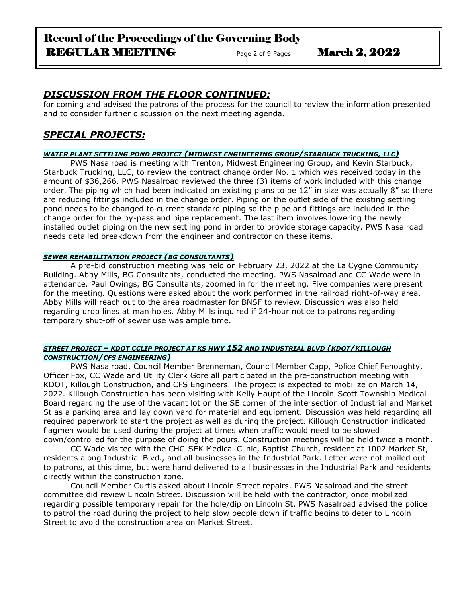### *DISCUSSION FROM THE FLOOR CONTINUED:*

for coming and advised the patrons of the process for the council to review the information presented and to consider further discussion on the next meeting agenda.

### *SPECIAL PROJECTS:*

#### *WATER PLANT SETTLING POND PROJECT (MIDWEST ENGINEERING GROUP/STARBUCK TRUCKING, LLC)*

PWS Nasalroad is meeting with Trenton, Midwest Engineering Group, and Kevin Starbuck, Starbuck Trucking, LLC, to review the contract change order No. 1 which was received today in the amount of \$36,266. PWS Nasalroad reviewed the three (3) items of work included with this change order. The piping which had been indicated on existing plans to be 12" in size was actually 8" so there are reducing fittings included in the change order. Piping on the outlet side of the existing settling pond needs to be changed to current standard piping so the pipe and fittings are included in the change order for the by-pass and pipe replacement. The last item involves lowering the newly installed outlet piping on the new settling pond in order to provide storage capacity. PWS Nasalroad needs detailed breakdown from the engineer and contractor on these items.

#### *SEWER REHABILITATION PROJECT (BG CONSULTANTS)*

A pre-bid construction meeting was held on February 23, 2022 at the La Cygne Community Building. Abby Mills, BG Consultants, conducted the meeting. PWS Nasalroad and CC Wade were in attendance. Paul Owings, BG Consultants, zoomed in for the meeting. Five companies were present for the meeting. Questions were asked about the work performed in the railroad right-of-way area. Abby Mills will reach out to the area roadmaster for BNSF to review. Discussion was also held regarding drop lines at man holes. Abby Mills inquired if 24-hour notice to patrons regarding temporary shut-off of sewer use was ample time.

#### *STREET PROJECT – KDOT CCLIP PROJECT AT KS HWY 152 AND INDUSTRIAL BLVD (KDOT/KILLOUGH CONSTRUCTION/CFS ENGINEERING)*

PWS Nasalroad, Council Member Brenneman, Council Member Capp, Police Chief Fenoughty, Officer Fox, CC Wade and Utility Clerk Gore all participated in the pre-construction meeting with KDOT, Killough Construction, and CFS Engineers. The project is expected to mobilize on March 14, 2022. Killough Construction has been visiting with Kelly Haupt of the Lincoln-Scott Township Medical Board regarding the use of the vacant lot on the SE corner of the intersection of Industrial and Market St as a parking area and lay down yard for material and equipment. Discussion was held regarding all required paperwork to start the project as well as during the project. Killough Construction indicated flagmen would be used during the project at times when traffic would need to be slowed down/controlled for the purpose of doing the pours. Construction meetings will be held twice a month.

CC Wade visited with the CHC-SEK Medical Clinic, Baptist Church, resident at 1002 Market St, residents along Industrial Blvd., and all businesses in the Industrial Park. Letter were not mailed out to patrons, at this time, but were hand delivered to all businesses in the Industrial Park and residents directly within the construction zone.

Council Member Curtis asked about Lincoln Street repairs. PWS Nasalroad and the street committee did review Lincoln Street. Discussion will be held with the contractor, once mobilized regarding possible temporary repair for the hole/dip on Lincoln St. PWS Nasalroad advised the police to patrol the road during the project to help slow people down if traffic begins to deter to Lincoln Street to avoid the construction area on Market Street.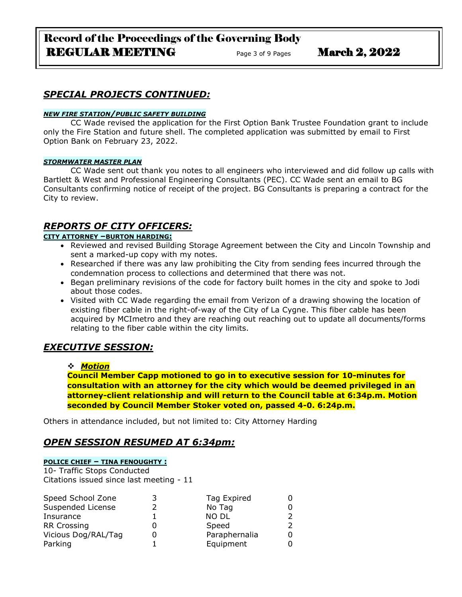# Record of the Proceedings of the Governing Body REGULAR MEETING Page 3 of 9 Pages March 2, 2022

## *SPECIAL PROJECTS CONTINUED:*

#### *NEW FIRE STATION/PUBLIC SAFETY BUILDING*

CC Wade revised the application for the First Option Bank Trustee Foundation grant to include only the Fire Station and future shell. The completed application was submitted by email to First Option Bank on February 23, 2022.

#### *STORMWATER MASTER PLAN*

CC Wade sent out thank you notes to all engineers who interviewed and did follow up calls with Bartlett & West and Professional Engineering Consultants (PEC). CC Wade sent an email to BG Consultants confirming notice of receipt of the project. BG Consultants is preparing a contract for the City to review.

### *REPORTS OF CITY OFFICERS:*

### **CITY ATTORNEY –BURTON HARDING:**

- Reviewed and revised Building Storage Agreement between the City and Lincoln Township and sent a marked-up copy with my notes.
- Researched if there was any law prohibiting the City from sending fees incurred through the condemnation process to collections and determined that there was not.
- Began preliminary revisions of the code for factory built homes in the city and spoke to Jodi about those codes.
- Visited with CC Wade regarding the email from Verizon of a drawing showing the location of existing fiber cable in the right-of-way of the City of La Cygne. This fiber cable has been acquired by MCImetro and they are reaching out reaching out to update all documents/forms relating to the fiber cable within the city limits.

# *EXECUTIVE SESSION:*

### ❖ *Motion*

**Council Member Capp motioned to go in to executive session for 10-minutes for consultation with an attorney for the city which would be deemed privileged in an attorney-client relationship and will return to the Council table at 6:34p.m. Motion seconded by Council Member Stoker voted on, passed 4-0. 6:24p.m.**

Others in attendance included, but not limited to: City Attorney Harding

### *OPEN SESSION RESUMED AT 6:34pm:*

### **POLICE CHIEF – TINA FENOUGHTY :**

10- Traffic Stops Conducted Citations issued since last meeting - 11

| Speed School Zone   | Tag Expired   |  |
|---------------------|---------------|--|
| Suspended License   | No Tag        |  |
| Insurance           | <b>NO DL</b>  |  |
| <b>RR Crossing</b>  | Speed         |  |
| Vicious Dog/RAL/Tag | Paraphernalia |  |
| Parking             | Equipment     |  |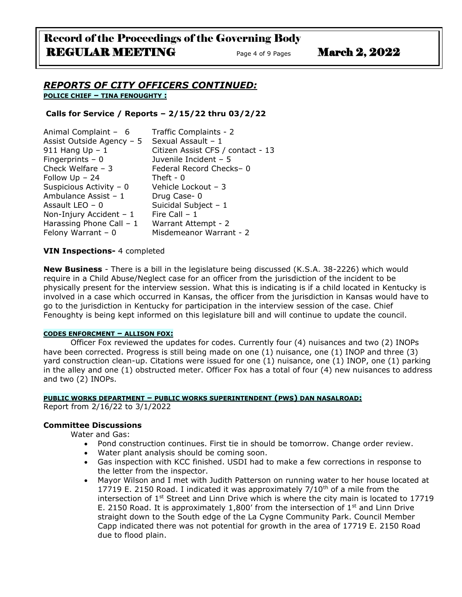# Record of the Proceedings of the Governing Body REGULAR MEETING Page 4 of 9 Pages March 2, 2022

### *REPORTS OF CITY OFFICERS CONTINUED:* **POLICE CHIEF – TINA FENOUGHTY :**

### **Calls for Service / Reports – 2/15/22 thru 03/2/22**

| Animal Complaint - 6      | Traffic Complaints - 2            |
|---------------------------|-----------------------------------|
| Assist Outside Agency - 5 | Sexual Assault - 1                |
| 911 Hang $Up - 1$         | Citizen Assist CFS / contact - 13 |
| Fingerprints $-0$         | Juvenile Incident - 5             |
| Check Welfare $-3$        | Federal Record Checks-0           |
| Follow $Up - 24$          | Theft - $0$                       |
| Suspicious Activity - 0   | Vehicle Lockout - 3               |
| Ambulance Assist - 1      | Drug Case-0                       |
| Assault LEO - 0           | Suicidal Subject - 1              |
| Non-Injury Accident $-1$  | Fire Call $-1$                    |
| Harassing Phone Call - 1  | Warrant Attempt - 2               |
| Felony Warrant $-0$       | Misdemeanor Warrant - 2           |
|                           |                                   |

### **VIN Inspections-** 4 completed

**New Business** - There is a bill in the legislature being discussed (K.S.A. 38-2226) which would require in a Child Abuse/Neglect case for an officer from the jurisdiction of the incident to be physically present for the interview session. What this is indicating is if a child located in Kentucky is involved in a case which occurred in Kansas, the officer from the jurisdiction in Kansas would have to go to the jurisdiction in Kentucky for participation in the interview session of the case. Chief Fenoughty is being kept informed on this legislature bill and will continue to update the council.

#### **CODES ENFORCMENT – ALLISON FOX:**

Officer Fox reviewed the updates for codes. Currently four (4) nuisances and two (2) INOPs have been corrected. Progress is still being made on one (1) nuisance, one (1) INOP and three (3) yard construction clean-up. Citations were issued for one (1) nuisance, one (1) INOP, one (1) parking in the alley and one (1) obstructed meter. Officer Fox has a total of four (4) new nuisances to address and two (2) INOPs.

### **PUBLIC WORKS DEPARTMENT – PUBLIC WORKS SUPERINTENDENT (PWS) DAN NASALROAD:**

Report from 2/16/22 to 3/1/2022

#### **Committee Discussions**

Water and Gas:

- Pond construction continues. First tie in should be tomorrow. Change order review.
- Water plant analysis should be coming soon.
- Gas inspection with KCC finished. USDI had to make a few corrections in response to the letter from the inspector.
- Mayor Wilson and I met with Judith Patterson on running water to her house located at 17719 E. 2150 Road. I indicated it was approximately  $7/10<sup>th</sup>$  of a mile from the intersection of  $1<sup>st</sup>$  Street and Linn Drive which is where the city main is located to 17719 E. 2150 Road. It is approximately 1,800' from the intersection of  $1<sup>st</sup>$  and Linn Drive straight down to the South edge of the La Cygne Community Park. Council Member Capp indicated there was not potential for growth in the area of 17719 E. 2150 Road due to flood plain.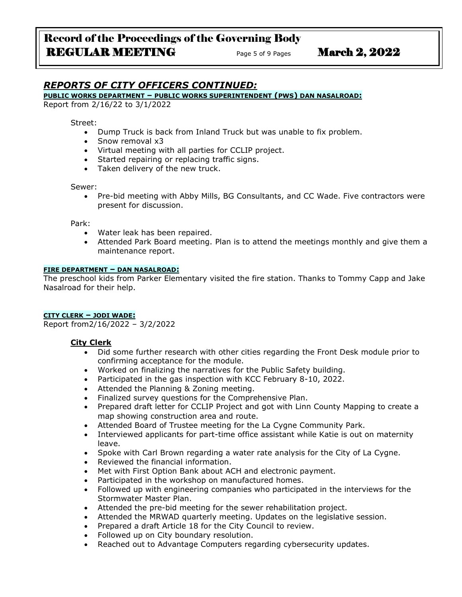## *REPORTS OF CITY OFFICERS CONTINUED:*

#### **PUBLIC WORKS DEPARTMENT – PUBLIC WORKS SUPERINTENDENT (PWS) DAN NASALROAD:**

Report from 2/16/22 to 3/1/2022

Street:

- Dump Truck is back from Inland Truck but was unable to fix problem.
- Snow removal x3
- Virtual meeting with all parties for CCLIP project.
- Started repairing or replacing traffic signs.
- Taken delivery of the new truck.

#### Sewer:

• Pre-bid meeting with Abby Mills, BG Consultants, and CC Wade. Five contractors were present for discussion.

Park:

- Water leak has been repaired.
- Attended Park Board meeting. Plan is to attend the meetings monthly and give them a maintenance report.

#### **FIRE DEPARTMENT – DAN NASALROAD:**

The preschool kids from Parker Elementary visited the fire station. Thanks to Tommy Capp and Jake Nasalroad for their help.

#### **CITY CLERK – JODI WADE:**

Report from2/16/2022 – 3/2/2022

### **City Clerk**

- Did some further research with other cities regarding the Front Desk module prior to confirming acceptance for the module.
- Worked on finalizing the narratives for the Public Safety building.
- Participated in the gas inspection with KCC February 8-10, 2022.
- Attended the Planning & Zoning meeting.
- Finalized survey questions for the Comprehensive Plan.
- Prepared draft letter for CCLIP Project and got with Linn County Mapping to create a map showing construction area and route.
- Attended Board of Trustee meeting for the La Cygne Community Park.
- Interviewed applicants for part-time office assistant while Katie is out on maternity leave.
- Spoke with Carl Brown regarding a water rate analysis for the City of La Cygne.
- Reviewed the financial information.
- Met with First Option Bank about ACH and electronic payment.
- Participated in the workshop on manufactured homes.
- Followed up with engineering companies who participated in the interviews for the Stormwater Master Plan.
- Attended the pre-bid meeting for the sewer rehabilitation project.
- Attended the MRWAD quarterly meeting. Updates on the legislative session.
- Prepared a draft Article 18 for the City Council to review.
- Followed up on City boundary resolution.
- Reached out to Advantage Computers regarding cybersecurity updates.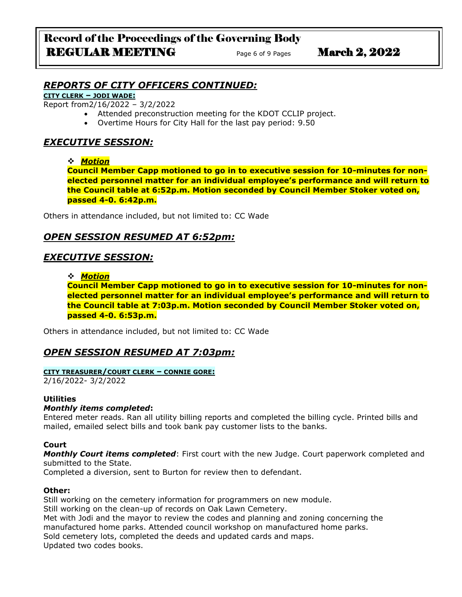## *REPORTS OF CITY OFFICERS CONTINUED:*

### **CITY CLERK – JODI WADE:**

Report from2/16/2022 – 3/2/2022

- Attended preconstruction meeting for the KDOT CCLIP project.
- Overtime Hours for City Hall for the last pay period: 9.50

### *EXECUTIVE SESSION:*

### ❖ *Motion*

**Council Member Capp motioned to go in to executive session for 10-minutes for nonelected personnel matter for an individual employee's performance and will return to the Council table at 6:52p.m. Motion seconded by Council Member Stoker voted on, passed 4-0. 6:42p.m.**

Others in attendance included, but not limited to: CC Wade

### *OPEN SESSION RESUMED AT 6:52pm:*

### *EXECUTIVE SESSION:*

### ❖ *Motion*

**Council Member Capp motioned to go in to executive session for 10-minutes for nonelected personnel matter for an individual employee's performance and will return to the Council table at 7:03p.m. Motion seconded by Council Member Stoker voted on, passed 4-0. 6:53p.m.**

Others in attendance included, but not limited to: CC Wade

### *OPEN SESSION RESUMED AT 7:03pm:*

#### **CITY TREASURER/COURT CLERK – CONNIE GORE:**

2/16/2022- 3/2/2022

### **Utilities**

### *Monthly items completed***:**

Entered meter reads. Ran all utility billing reports and completed the billing cycle. Printed bills and mailed, emailed select bills and took bank pay customer lists to the banks.

### **Court**

*Monthly Court items completed*: First court with the new Judge. Court paperwork completed and submitted to the State.

Completed a diversion, sent to Burton for review then to defendant.

### **Other:**

Still working on the cemetery information for programmers on new module. Still working on the clean-up of records on Oak Lawn Cemetery. Met with Jodi and the mayor to review the codes and planning and zoning concerning the manufactured home parks. Attended council workshop on manufactured home parks. Sold cemetery lots, completed the deeds and updated cards and maps. Updated two codes books.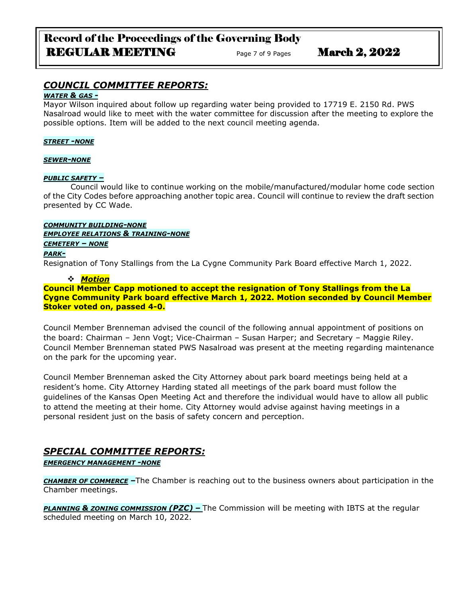# Record of the Proceedings of the Governing Body REGULAR MEETING Page 7 of 9 Pages March 2, 2022

# *COUNCIL COMMITTEE REPORTS:*

### *WATER & GAS -*

Mayor Wilson inquired about follow up regarding water being provided to 17719 E. 2150 Rd. PWS Nasalroad would like to meet with the water committee for discussion after the meeting to explore the possible options. Item will be added to the next council meeting agenda.

#### *STREET -NONE*

#### *SEWER-NONE*

### *PUBLIC SAFETY –*

Council would like to continue working on the mobile/manufactured/modular home code section of the City Codes before approaching another topic area. Council will continue to review the draft section presented by CC Wade.

### *COMMUNITY BUILDING-NONE*

*EMPLOYEE RELATIONS & TRAINING-NONE*

### *CEMETERY – NONE*

### *PARK-*

Resignation of Tony Stallings from the La Cygne Community Park Board effective March 1, 2022.

### ❖ *Motion*

**Council Member Capp motioned to accept the resignation of Tony Stallings from the La Cygne Community Park board effective March 1, 2022. Motion seconded by Council Member Stoker voted on, passed 4-0.**

Council Member Brenneman advised the council of the following annual appointment of positions on the board: Chairman – Jenn Vogt; Vice-Chairman – Susan Harper; and Secretary – Maggie Riley. Council Member Brenneman stated PWS Nasalroad was present at the meeting regarding maintenance on the park for the upcoming year.

Council Member Brenneman asked the City Attorney about park board meetings being held at a resident's home. City Attorney Harding stated all meetings of the park board must follow the guidelines of the Kansas Open Meeting Act and therefore the individual would have to allow all public to attend the meeting at their home. City Attorney would advise against having meetings in a personal resident just on the basis of safety concern and perception.

# *SPECIAL COMMITTEE REPORTS:*

*EMERGENCY MANAGEMENT -NONE*

*CHAMBER OF COMMERCE –*The Chamber is reaching out to the business owners about participation in the Chamber meetings.

*PLANNING & ZONING COMMISSION (PZC) –* The Commission will be meeting with IBTS at the regular scheduled meeting on March 10, 2022.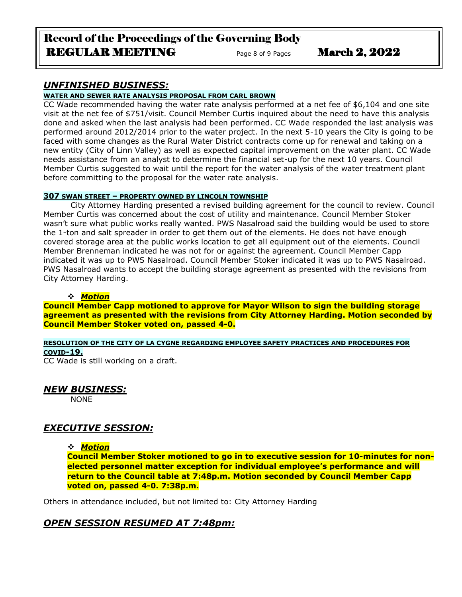# Record of the Proceedings of the Governing Body REGULAR MEETING Page 8 of 9 Pages March 2, 2022

### *UNFINISHED BUSINESS:*

#### **WATER AND SEWER RATE ANALYSIS PROPOSAL FROM CARL BROWN**

CC Wade recommended having the water rate analysis performed at a net fee of \$6,104 and one site visit at the net fee of \$751/visit. Council Member Curtis inquired about the need to have this analysis done and asked when the last analysis had been performed. CC Wade responded the last analysis was performed around 2012/2014 prior to the water project. In the next 5-10 years the City is going to be faced with some changes as the Rural Water District contracts come up for renewal and taking on a new entity (City of Linn Valley) as well as expected capital improvement on the water plant. CC Wade needs assistance from an analyst to determine the financial set-up for the next 10 years. Council Member Curtis suggested to wait until the report for the water analysis of the water treatment plant before committing to the proposal for the water rate analysis.

#### **307 SWAN STREET – PROPERTY OWNED BY LINCOLN TOWNSHIP**

City Attorney Harding presented a revised building agreement for the council to review. Council Member Curtis was concerned about the cost of utility and maintenance. Council Member Stoker wasn't sure what public works really wanted. PWS Nasalroad said the building would be used to store the 1-ton and salt spreader in order to get them out of the elements. He does not have enough covered storage area at the public works location to get all equipment out of the elements. Council Member Brenneman indicated he was not for or against the agreement. Council Member Capp indicated it was up to PWS Nasalroad. Council Member Stoker indicated it was up to PWS Nasalroad. PWS Nasalroad wants to accept the building storage agreement as presented with the revisions from City Attorney Harding.

### ❖ *Motion*

**Council Member Capp motioned to approve for Mayor Wilson to sign the building storage agreement as presented with the revisions from City Attorney Harding. Motion seconded by Council Member Stoker voted on, passed 4-0.**

#### **RESOLUTION OF THE CITY OF LA CYGNE REGARDING EMPLOYEE SAFETY PRACTICES AND PROCEDURES FOR COVID-19.**

CC Wade is still working on a draft.

### *NEW BUSINESS:*

NONE

# *EXECUTIVE SESSION:*

### ❖ *Motion*

**Council Member Stoker motioned to go in to executive session for 10-minutes for nonelected personnel matter exception for individual employee's performance and will return to the Council table at 7:48p.m. Motion seconded by Council Member Capp voted on, passed 4-0. 7:38p.m.**

Others in attendance included, but not limited to: City Attorney Harding

### *OPEN SESSION RESUMED AT 7:48pm:*